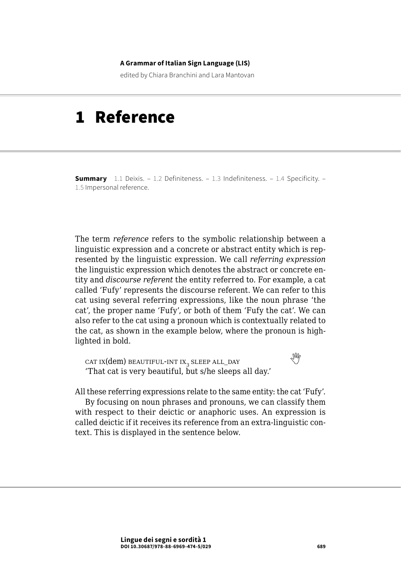#### **A Grammar of Italian Sign Language (LIS)**

edited by Chiara Branchini and Lara Mantovan

# 1 Reference

**Summary** [1.1 Deixis.](#page-1-0) [– 1.2 Definiteness](#page-4-0). [– 1.3 Indefiniteness.](#page-6-0) [– 1.4 Specificity.](#page-8-0) – 1.5 [Impersonal reference.](#page-9-0)

The term *reference* refers to the symbolic relationship between a linguistic expression and a concrete or abstract entity which is represented by the linguistic expression. We call *referring expression* the linguistic expression which denotes the abstract or concrete entity and *discourse referent* the entity referred to. For example, a cat called 'Fufy' represents the discourse referent. We can refer to this cat using several referring expressions, like the noun phrase 'the cat', the proper name 'Fufy', or both of them 'Fufy the cat'. We can also refer to the cat using a pronoun which is contextually related to the cat, as shown in the example below, where the pronoun is highlighted in bold.

 $\text{CAT IX}(\text{dem})$  beautiful-int ix<sub>3</sub> sleep all\_day 'That cat is very beautiful, but s/he sleeps all day.'

All these referring expressions relate to the same entity: the cat 'Fufy'. By focusing on noun phrases and pronouns, we can classify them with respect to their deictic or anaphoric uses. An expression is called deictic if it receives its reference from an extra-linguistic context. This is displayed in the sentence below.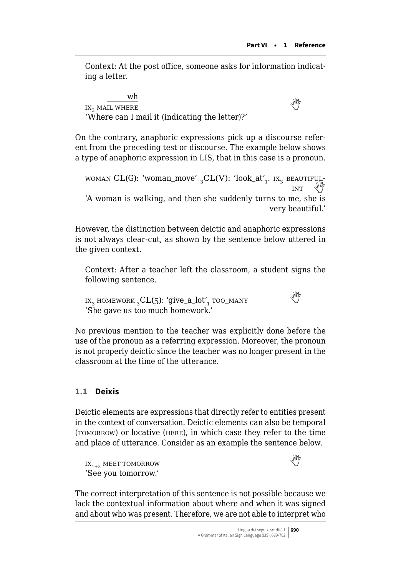<span id="page-1-0"></span>Context: At the post office, someone asks for information indicating a letter.

wh  $\overline{\text{ax}}$  mail where  $\overline{\text{ax}}$ 'Where can I mail it (indicating the letter)?'

On the contrary, anaphoric expressions pick up a discourse referent from the preceding test or discourse. The example below shows a type of anaphoric expression in LIS, that in this case is a pronoun.

WOMAN CL(G): 'WOMAN CU(G): 'WOMAN CU(G): 'WOMAN CU(G): 'NOVER' 3 CL(V): ' $\log_{10}$  int 'A woman is walking, and then she suddenly turns to me, she is very beautiful.'

However, the distinction between deictic and anaphoric expressions is not always clear-cut, as shown by the sentence below uttered in the given context.

Context: After a teacher left the classroom, a student signs the following sentence.

 $\mathbf{I} \mathbf{X}_3$  homework  ${}_{3}CL(5)$ : 'give\_a\_lot',  $\mathbf{I}$  too\_many 'She gave us too much homework.'

No previous mention to the teacher was explicitly done before the use of the pronoun as a referring expression. Moreover, the pronoun is not properly deictic since the teacher was no longer present in the classroom at the time of the utterance.

# **1.1 Deixis**

Deictic elements are expressions that directly refer to entities present in the context of conversation. Deictic elements can also be temporal (tomorrow) or locative (here), in which case they refer to the time and place of utterance. Consider as an example the sentence below.

 $IX_{1+2}$  MEET TOMORROW 'See you tomorrow.'



The correct interpretation of this sentence is not possible because we lack the contextual information about where and when it was signed and about who was present. Therefore, we are not able to interpret who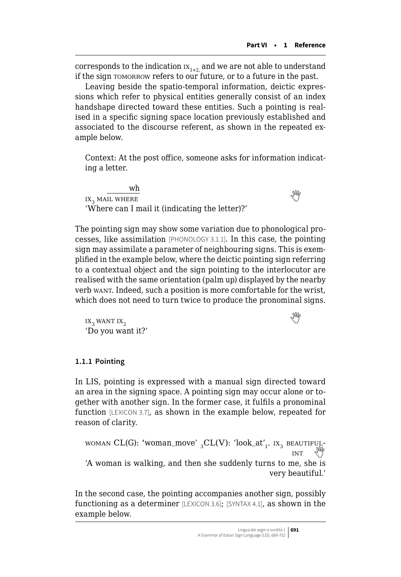corresponds to the indication  $IX_{1+2}$  and we are not able to understand if the sign tomorrow refers to our future, or to a future in the past.

Leaving beside the spatio-temporal information, deictic expressions which refer to physical entities generally consist of an index handshape directed toward these entities. Such a pointing is realised in a specific signing space location previously established and associated to the discourse referent, as shown in the repeated example below.

Context: At the post office, someone asks for information indicating a letter.

wh  $\frac{W_{\text{II}}}{W_{\text{II}}}$  is a mail where 'Where can I mail it (indicating the letter)?'

The pointing sign may show some variation due to phonological processes, like assimilation [PHONOLOGY 3.1.1]. In this case, the pointing sign may assimilate a parameter of neighbouring signs. This is exemplified in the example below, where the deictic pointing sign referring to a contextual object and the sign pointing to the interlocutor are realised with the same orientation (palm up) displayed by the nearby verb want. Indeed, such a position is more comfortable for the wrist, which does not need to turn twice to produce the pronominal signs.

ix<sub>3</sub> want ix<sub>2</sub> 'Do you want it?'

### **1.1.1 Pointing**

In LIS, pointing is expressed with a manual sign directed toward an area in the signing space. A pointing sign may occur alone or together with another sign. In the former case, it fulfils a pronominal function [LEXICON 3.7], as shown in the example below, repeated for reason of clarity.

WOMAN CL(G): 'WOMAN\_move'  ${}_{3}CL(V)$ : 'look\_at'<sub>1</sub>. Ix<sub>3</sub> beautiful-'A woman is walking, and then she suddenly turns to me, she is very beautiful.'

In the second case, the pointing accompanies another sign, possibly functioning as a determiner [LEXICON 3.6]; [SYNTAX 4.1], as shown in the example below.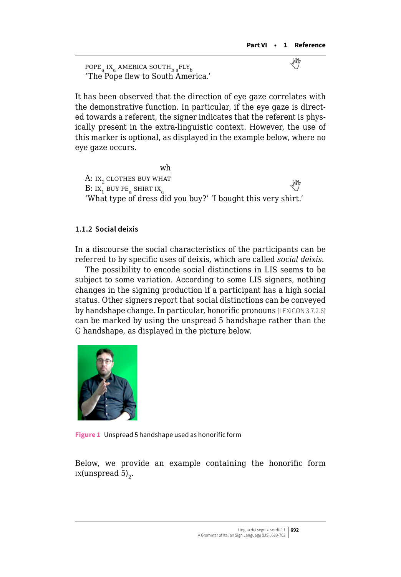$\text{POPE}_{\text{a}}$  IX<sub>a</sub> AMERICA SOUTH<sub>b a</sub>FLY<sub>b</sub> 'The Pope flew to South America.'

It has been observed that the direction of eye gaze correlates with the demonstrative function. In particular, if the eye gaze is directed towards a referent, the signer indicates that the referent is physically present in the extra-linguistic context. However, the use of this marker is optional, as displayed in the example below, where no eye gaze occurs.

wh A: IX<sub>2</sub> CLOTHES BUY WHAT  $B:$  ix<sub>1</sub> buy peasing  $\mathbb{R}$  is the shirt ixation of  $\mathbb{R}$  in the shirt ixation of  $\mathbb{R}$  is the shirt ixation of  $\mathbb{R}$  is the shirt ixation of  $\mathbb{R}$  is the shirt ixation of  $\mathbb{R}$  is the shirt in  $\mathbb{R}$ 'What type of dress did you buy?' 'I bought this very shirt.'

### **1.1.2 Social deixis**

In a discourse the social characteristics of the participants can be referred to by specific uses of deixis, which are called *social deixis*.

The possibility to encode social distinctions in LIS seems to be subject to some variation. According to some LIS signers, nothing changes in the signing production if a participant has a high social status. Other signers report that social distinctions can be conveyed by handshape change. In particular, honorific pronouns [LEXICON 3.7.2.6] can be marked by using the unspread 5 handshape rather than the G handshape, as displayed in the picture below.



**Figure 1** Unspread 5 handshape used as honorific form

Below, we provide an example containing the honorific form  $ix(unspread 5)$ <sub>2</sub>.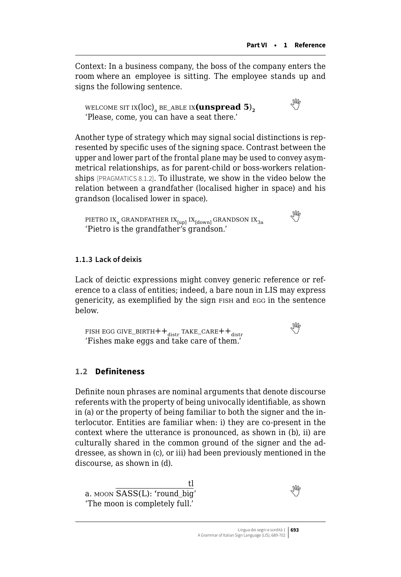<span id="page-4-0"></span>Context: In a business company, the boss of the company enters the room where an employee is sitting. The employee stands up and signs the following sentence.

welcome sit  $\text{IX}(\text{loc})_a$  be\_able  $\text{IX}(\text{unspread 5})$ ,  $\overset{\text{ON}}{=}$ 'Please, come, you can have a seat there.'

Another type of strategy which may signal social distinctions is represented by specific uses of the signing space. Contrast between the upper and lower part of the frontal plane may be used to convey asymmetrical relationships, as for parent-child or boss-workers relationships [PRAGMATICS 8.1.2]. To illustrate, we show in the video below the relation between a grandfather (localised higher in space) and his grandson (localised lower in space).

PIETRO IX<sub>a</sub> GRANDFATHER IX<sub>[up]</sub> IX<sub>[down]</sub> GRANDSON IX<sub>3a</sub> 'Pietro is the grandfather's grandson.'

# **1.1.3 Lack of deixis**

Lack of deictic expressions might convey generic reference or reference to a class of entities; indeed, a bare noun in LIS may express genericity, as exemplified by the sign fish and egg in the sentence below.

FISH EGG GIVE\_BIRTH++ $_{\rm distr}$  take\_care++ $_{\rm distr}$ 'Fishes make eggs and take care of them.'

# **1.2 Definiteness**

Definite noun phrases are nominal arguments that denote discourse referents with the property of being univocally identifiable, as shown in (a) or the property of being familiar to both the signer and the interlocutor. Entities are familiar when: i) they are co-present in the context where the utterance is pronounced, as shown in (b), ii) are culturally shared in the common ground of the signer and the addressee, as shown in (c), or iii) had been previously mentioned in the discourse, as shown in (d).

tl a. moon SASS(L): 'round\_big' 'The moon is completely full.'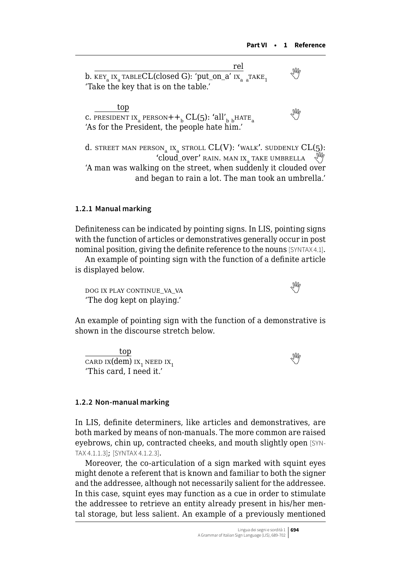| rel                                                            |    |
|----------------------------------------------------------------|----|
| b. $KEY_a IX_a TABLECL (closed G): 'put\_on_a' IX_a _a Take_1$ | УŴ |
| 'Take the key that is on the table.'                           |    |
|                                                                |    |

 top c. PRESIDENT IX<sub>a</sub> PERSON++<sub>b</sub> CL(5): 'all'<sub>b b</sub>HATE<sub>a</sub> 'As for the President, the people hate him.'

d. street man person<sub>a</sub> ix<sub>a</sub> stroll  $CL(V)$ : 'walk'. suddenly  $CL(5)$ : 'cloud\_over' rain. MAN IX, TAKE UMBRELLA 'A man was walking on the street, when suddenly it clouded over and began to rain a lot. The man took an umbrella.'

#### **1.2.1 Manual marking**

Definiteness can be indicated by pointing signs. In LIS, pointing signs with the function of articles or demonstratives generally occur in post nominal position, giving the definite reference to the nouns [SYNTAX 4.1].

An example of pointing sign with the function of a definite article is displayed below.

 $\log$  ix play continue va\_va $\log$ 'The dog kept on playing.'

An example of pointing sign with the function of a demonstrative is shown in the discourse stretch below.

top  $\frac{1}{\text{CAP IN}}$  ix<sub>1</sub> need ix<sub>1</sub>  $\frac{1}{\text{MP}}$ 'This card, I need it.'

#### **1.2.2 Non-manual marking**

In LIS, definite determiners, like articles and demonstratives, are both marked by means of non-manuals. The more common are raised eyebrows, chin up, contracted cheeks, and mouth slightly open [SYN-TAX 4.1.1.3]; [SYNTAX 4.1.2.3].

Moreover, the co-articulation of a sign marked with squint eyes might denote a referent that is known and familiar to both the signer and the addressee, although not necessarily salient for the addressee. In this case, squint eyes may function as a cue in order to stimulate the addressee to retrieve an entity already present in his/her mental storage, but less salient. An example of a previously mentioned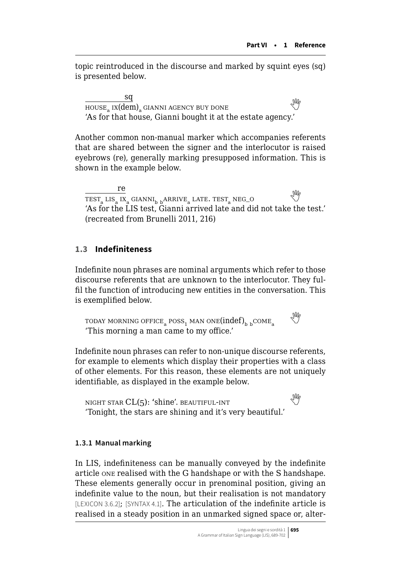<span id="page-6-0"></span>topic reintroduced in the discourse and marked by squint eyes (sq) is presented below.

sq  $HOUSE_a$  IX $(dem)_a$  gianni agency buy done 'As for that house, Gianni bought it at the estate agency.'

Another common non-manual marker which accompanies referents that are shared between the signer and the interlocutor is raised eyebrows (re), generally marking presupposed information. This is shown in the example below.

re  $\frac{16}{\text{TEST}_a \text{ LIS}_a \text{IX}_a \text{GIANNI}_{b \text{b}} \text{ARRIVE}_a \text{LATE. TEST}_a \text{NEG}_o}$ 'As for the LIS test, Gianni arrived late and did not take the test.' (recreated from Brunelli 2011, 216)

# **1.3 Indefiniteness**

Indefinite noun phrases are nominal arguments which refer to those discourse referents that are unknown to the interlocutor. They fulfil the function of introducing new entities in the conversation. This is exemplified below.

TODAY MORNING OFFICE<sub>a</sub> POSS<sub>1</sub> MAN ONE(indef)<sub>b b</sub>COME<sub>a</sub> 'This morning a man came to my office.'

Indefinite noun phrases can refer to non-unique discourse referents, for example to elements which display their properties with a class of other elements. For this reason, these elements are not uniquely identifiable, as displayed in the example below.

night star CL(5): 'shine'. beautiful-int 'Tonight, the stars are shining and it's very beautiful.'

### **1.3.1 Manual marking**

In LIS, indefiniteness can be manually conveyed by the indefinite article one realised with the G handshape or with the S handshape. These elements generally occur in prenominal position, giving an indefinite value to the noun, but their realisation is not mandatory [LEXICON 3.6.2]; [SYNTAX 4.1]. The articulation of the indefinite article is realised in a steady position in an unmarked signed space or, alter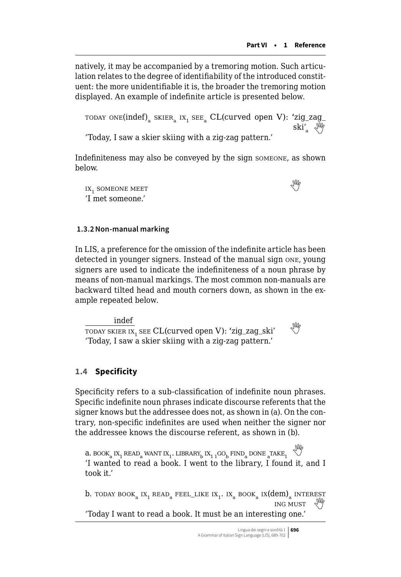natively, it may be accompanied by a tremoring motion. Such articulation relates to the degree of identifiability of the introduced constituent: the more unidentifiable it is, the broader the tremoring motion displayed. An example of indefinite article is presented below.

```
TODAY ONE(indef)<sub>a</sub> SKIER<sub>a</sub> IX<sub>1</sub> SEE<sub>a</sub> CL(curved open V): 'zig_zag_ski' \sqrt{\frac{N}{N}}
```
'Today, I saw a skier skiing with a zig-zag pattern.'

Indefiniteness may also be conveyed by the sign someone, as shown below.

 $IX<sub>1</sub>$  someone meet 'I met someone.'

### **1.3.2Non-manual marking**

In LIS, a preference for the omission of the indefinite article has been detected in younger signers. Instead of the manual sign one, young signers are used to indicate the indefiniteness of a noun phrase by means of non-manual markings. The most common non-manuals are backward tilted head and mouth corners down, as shown in the example repeated below.

indef  $\frac{1}{100 \text{ A} \cdot \text{K}}$  see CL(curved open V): 'zig\_zag\_ski' 'Today, I saw a skier skiing with a zig-zag pattern.'

# **1.4 Specificity**

Specificity refers to a sub-classification of indefinite noun phrases. Specific indefinite noun phrases indicate discourse referents that the signer knows but the addressee does not, as shown in (a). On the contrary, non-specific indefinites are used when neither the signer nor the addressee knows the discourse referent, as shown in (b).

 $\limsup_{n\to\infty} \sup_{\mathbf{k}}\sup_{\mathbf{k}}\sup_{\mathbf{k}}\sup_{\mathbf{k}}\sup_{\mathbf{k}}\sup_{\mathbf{k}}\sup_{\mathbf{k}}\sup_{\mathbf{k}}\sup_{\mathbf{k}}\sup_{\mathbf{k}}\sup_{\mathbf{k}}\sup_{\mathbf{k}}\sup_{\mathbf{k}}\sup_{\mathbf{k}}\sup_{\mathbf{k}}\sup_{\mathbf{k}}\sup_{\mathbf{k}}\sup_{\mathbf{k}}\sup_{\mathbf{k}}\sup_{\mathbf{k}}\sup_{\mathbf{k}}\sup_{\mathbf{k}}\sup_{\mathbf{k}}\sup_{\mathbf{k}}\sup_{\mathbf{k}}\sup_{\mathbf{k}}\$ 'I wanted to read a book. I went to the library, I found it, and I took it.'

```
b. today book<sub>a</sub> ix<sub>1</sub> read<sub>a</sub> feel_like ix<sub>1</sub>. ix<sub>a</sub> book<sub>a</sub> ix(dem)<sub>a</sub> interest
                                                                                  ing must 
'Today I want to read a book. It must be an interesting one.'
```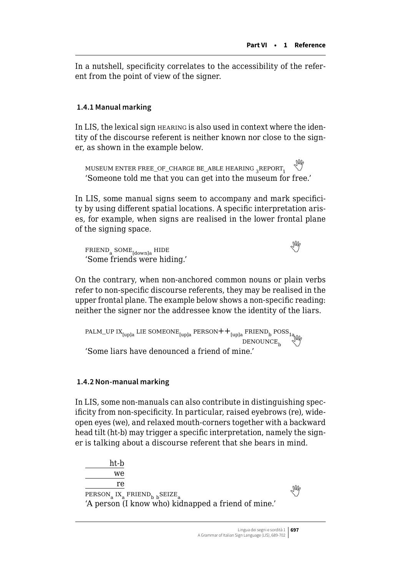<span id="page-8-0"></span>In a nutshell, specificity correlates to the accessibility of the referent from the point of view of the signer.

# **1.4.1 Manual marking**

In LIS, the lexical sign hearing is also used in context where the identity of the discourse referent is neither known nor close to the signer, as shown in the example below.

MUSEUM ENTER FREE\_OF\_CHARGE BE\_ABLE HEARING  $_2$ REPORT<sub>1</sub> 'Someone told me that you can get into the museum for free.'

In LIS, some manual signs seem to accompany and mark specificity by using different spatial locations. A specific interpretation arises, for example, when signs are realised in the lower frontal plane of the signing space.

 $FRIEND<sub>a</sub>$  SOME $_{\text{Idownla}}$  HIDE 'Some friends were hiding.'

On the contrary, when non-anchored common nouns or plain verbs refer to non-specific discourse referents, they may be realised in the upper frontal plane. The example below shows a non-specific reading: neither the signer nor the addressee know the identity of the liars.

PALM\_UP IX<sub>[up]a</sub> LIE SOMEONE<sub>[up]a</sub> PERSON++ $_{[up]a}$  FRIEND<sub>b</sub> POSS<sub>1a</sub>  $\text{Geme}$ <br>'Some liars have denounced a friend of mine.'

# **1.4.2 Non-manual marking**

In LIS, some non-manuals can also contribute in distinguishing specificity from non-specificity. In particular, raised eyebrows (re), wideopen eyes (we), and relaxed mouth-corners together with a backward head tilt (ht-b) may trigger a specific interpretation, namely the signer is talking about a discourse referent that she bears in mind.

ht-b we re  $\frac{16}{\text{PERSON}_a \text{ IX}_a \text{ FRIEND}_b \text{ } b}$ SEIZE<sub>a</sub> 'A person (I know who) kidnapped a friend of mine.'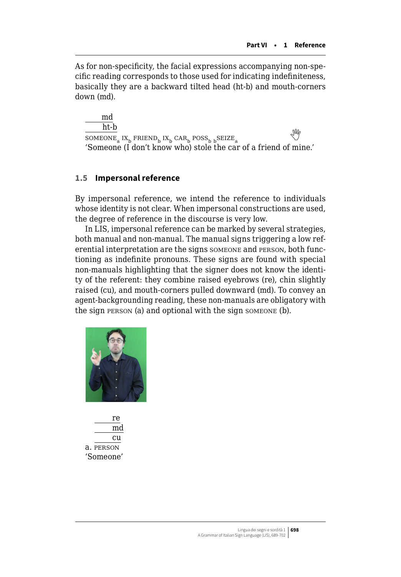<span id="page-9-0"></span>As for non-specificity, the facial expressions accompanying non-specific reading corresponds to those used for indicating indefiniteness, basically they are a backward tilted head (ht-b) and mouth-corners down (md).

md ht-b  $\frac{\text{inc-}D}{\text{SOMEONE}_a}$  IX<sub>b</sub> FRIEND<sub>b</sub> IX<sub>b</sub> CAR<sub>b</sub> POSS<sub>b b</sub>SEIZE<sub>a</sub> 'Someone (I don't know who) stole the car of a friend of mine.'

# **1.5 Impersonal reference**

By impersonal reference, we intend the reference to individuals whose identity is not clear. When impersonal constructions are used, the degree of reference in the discourse is very low.

In LIS, impersonal reference can be marked by several strategies, both manual and non-manual. The manual signs triggering a low referential interpretation are the signs someone and person, both functioning as indefinite pronouns. These signs are found with special non-manuals highlighting that the signer does not know the identity of the referent: they combine raised eyebrows (re), chin slightly raised (cu), and mouth-corners pulled downward (md). To convey an agent-backgrounding reading, these non-manuals are obligatory with the sign person (a) and optional with the sign someone (b).



re md cu a. person 'Someone'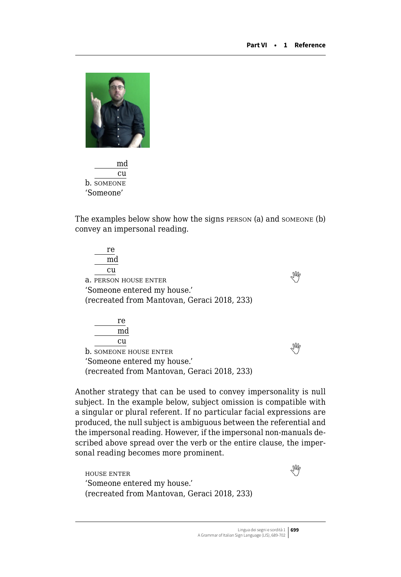

md cu b. someone 'Someone'

The examples below show how the signs person (a) and someone (b) convey an impersonal reading.

re md cu  $\frac{\alpha}{\sqrt{m}}$  a. person house enter 'Someone entered my house.' (recreated from Mantovan, Geraci 2018, 233) re md cu

 $\overline{\text{b}}$ . SOMEONE HOUSE ENTER 'Someone entered my house.' (recreated from Mantovan, Geraci 2018, 233)

Another strategy that can be used to convey impersonality is null subject. In the example below, subject omission is compatible with a singular or plural referent. If no particular facial expressions are produced, the null subject is ambiguous between the referential and the impersonal reading. However, if the impersonal non-manuals described above spread over the verb or the entire clause, the impersonal reading becomes more prominent.

house enter 'Someone entered my house.' (recreated from Mantovan, Geraci 2018, 233)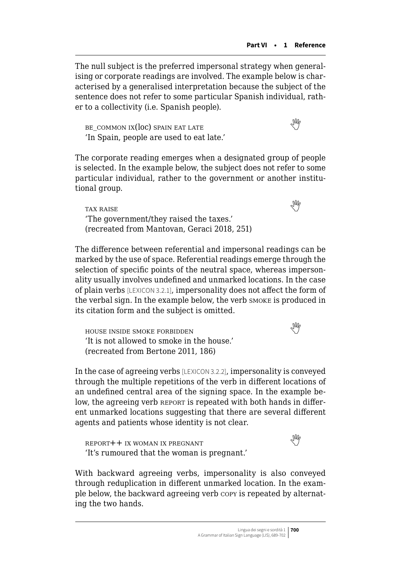The null subject is the preferred impersonal strategy when generalising or corporate readings are involved. The example below is characterised by a generalised interpretation because the subject of the sentence does not refer to some particular Spanish individual, rather to a collectivity (i.e. Spanish people).

BE COMMON IX( $loc$ ) spain eat late 'In Spain, people are used to eat late.'

The corporate reading emerges when a designated group of people is selected. In the example below, the subject does not refer to some particular individual, rather to the government or another institutional group.

tax raise 'The government/they raised the taxes.' (recreated from Mantovan, Geraci 2018, 251)

The difference between referential and impersonal readings can be marked by the use of space. Referential readings emerge through the selection of specific points of the neutral space, whereas impersonality usually involves undefined and unmarked locations. In the case of plain verbs [LEXICON 3.2.1], impersonality does not affect the form of the verbal sign. In the example below, the verb smoke is produced in its citation form and the subject is omitted.

house inside smoke forbidden 'It is not allowed to smoke in the house.' (recreated from Bertone 2011, 186)

In the case of agreeing verbs [LEXICON 3.2.2], impersonality is conveyed through the multiple repetitions of the verb in different locations of an undefined central area of the signing space. In the example below, the agreeing verb REPORT is repeated with both hands in different unmarked locations suggesting that there are several different agents and patients whose identity is not clear.

report++ ix woman ix pregnant 'It's rumoured that the woman is pregnant.'

With backward agreeing verbs, impersonality is also conveyed through reduplication in different unmarked location. In the example below, the backward agreeing verb copy is repeated by alternating the two hands.

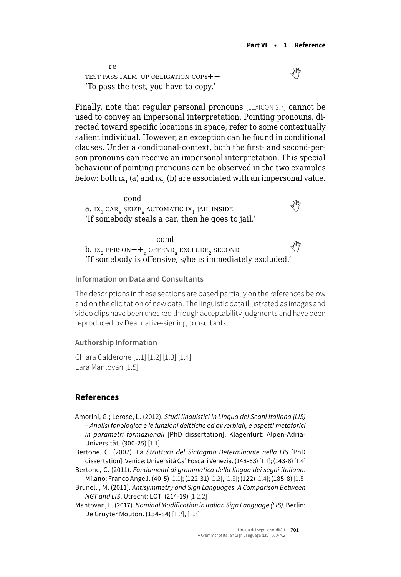re TEST PASS PALM\_UP OBLIGATION COPY++ 'To pass the test, you have to copy.'

Finally, note that regular personal pronouns [LEXICON 3.7] cannot be used to convey an impersonal interpretation. Pointing pronouns, directed toward specific locations in space, refer to some contextually salient individual. However, an exception can be found in conditional clauses. Under a conditional-context, both the first- and second-person pronouns can receive an impersonal interpretation. This special behaviour of pointing pronouns can be observed in the two examples below: both  $ix_1$  (a) and  $ix_2$  (b) are associated with an impersonal value.

cond a.  $\overline{\text{ax}_{1} \text{ car}_{2} \text{ SETZ}_{2}}$  automatic  $\overline{\text{ax}_{1}}$  jail inside 'If somebody steals a car, then he goes to jail.'

cond  $b.$   $\overline{IX_2$  PERSON++<sub>a</sub> OFFEND<sub>a</sub> EXCLUDE, SECOND 'If somebody is offensive, s/he is immediately excluded.'

#### **Information on Data and Consultants**

The descriptions in these sections are based partially on the references below and on the elicitation of new data. The linguistic data illustrated as images and video clips have been checked through acceptability judgments and have been reproduced by Deaf native-signing consultants.

## **Authorship Information**

Chiara Calderone [1.1] [1.2] [1.3] [1.4] Lara Mantovan [1.5]

### **References**

- Amorini, G.; Lerose, L. (2012). *Studi linguistici in Lingua dei Segni Italiana (LIS) – Analisi fonologica e le funzioni deittiche ed avverbiali, e aspetti metaforici in parametri formazionali* [PhD dissertation]. Klagenfurt: Alpen-Adria-Universität. (300-25) [1.1]
- Bertone, C. (2007). La *Struttura del Sintagma Determinante nella LIS* [PhD dissertation]. Venice: Università Ca' Foscari Venezia. (148-63) [1.1]; (143-8) [1.4]
- Bertone, C. (2011). *Fondamenti di grammatica della lingua dei segni italiana*. Milano: Franco Angeli. (40-5) [1.1]; (122-31) [1.2], [1.3]; (122) [1.4]; (185-8) [1.5]
- Brunelli, M. (2011). *Antisymmetry and Sign Languages. A Comparison Between NGT and LIS*. Utrecht: LOT. (214-19) [1.2.2]

Mantovan, L. (2017). *Nominal Modification in Italian Sign Language (LIS)*. Berlin: De Gruyter Mouton. (154-84) [1.2], [1.3]